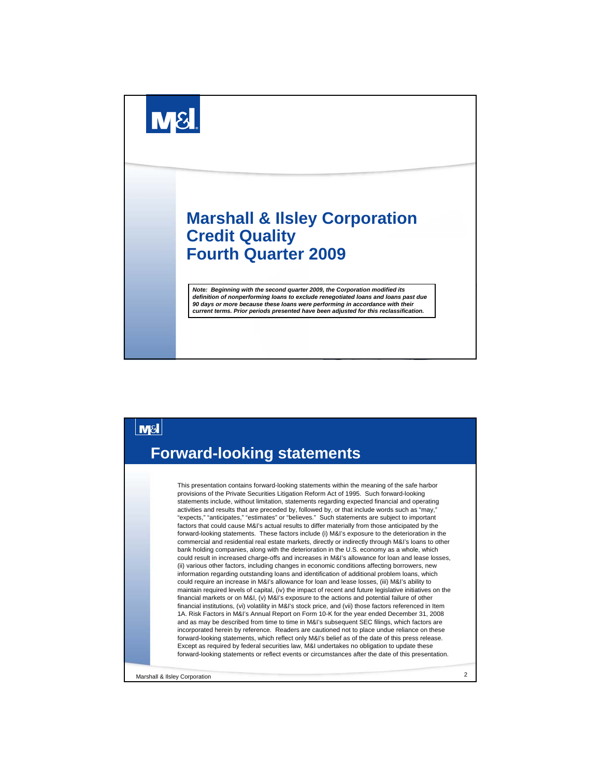



Marshall & Ilsley Corporation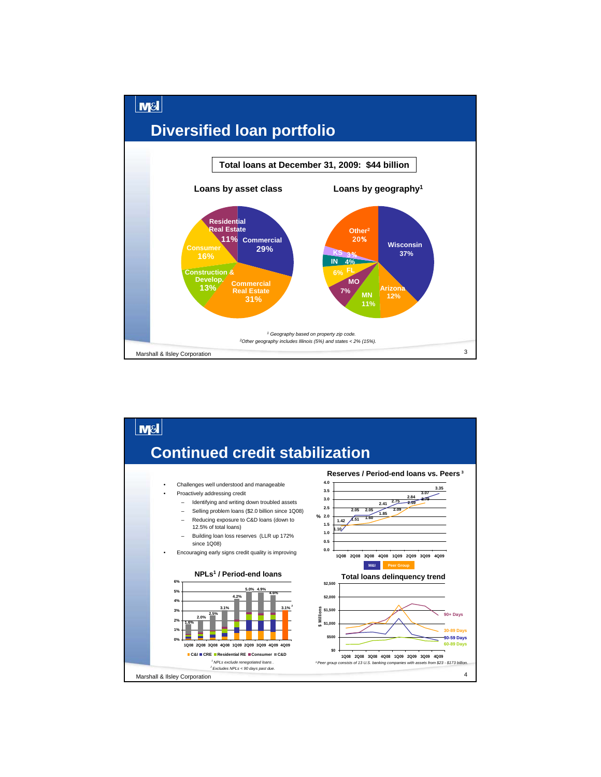

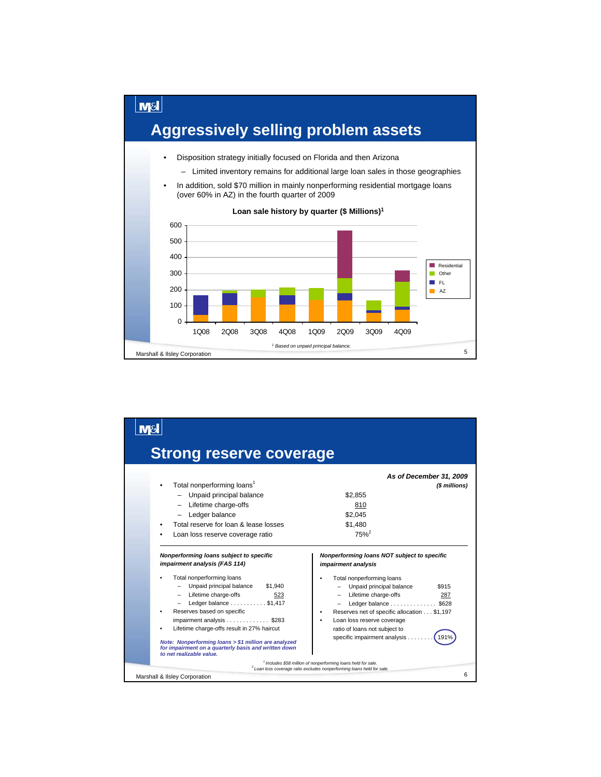

| <b>Strong reserve coverage</b>                                                                                                                                                                                                                                                                                                                                                                                                                               |                                                                                                                                                                                                                                                                                                                                                                                                                               |
|--------------------------------------------------------------------------------------------------------------------------------------------------------------------------------------------------------------------------------------------------------------------------------------------------------------------------------------------------------------------------------------------------------------------------------------------------------------|-------------------------------------------------------------------------------------------------------------------------------------------------------------------------------------------------------------------------------------------------------------------------------------------------------------------------------------------------------------------------------------------------------------------------------|
| Total nonperforming loans <sup>1</sup><br>- Unpaid principal balance<br>- Lifetime charge-offs<br>Ledger balance<br>Total reserve for loan & lease losses<br>Loan loss reserve coverage ratio                                                                                                                                                                                                                                                                | As of December 31, 2009<br>(\$ millions)<br>\$2.855<br>810<br>\$2.045<br>\$1.480<br>$75%^{2}$                                                                                                                                                                                                                                                                                                                                 |
| Nonperforming loans subject to specific<br>impairment analysis (FAS 114)<br>Total nonperforming loans<br>Unpaid principal balance<br>\$1,940<br>- Lifetime charge-offs<br>523<br>Ledger balance \$1,417<br>Reserves based on specific<br>impairment analysis \$283<br>Lifetime charge-offs result in 27% haircut<br>Note: Nonperforming loans > \$1 million are analyzed<br>for impairment on a quarterly basis and written down<br>to net realizable value. | Nonperforming loans NOT subject to specific<br>impairment analysis<br>Total nonperforming loans<br>Unpaid principal balance<br>\$915<br>Lifetime charge-offs<br>287<br>Ledger balance \$628<br>Reserves net of specific allocation \$1,197<br>Loan loss reserve coverage<br>ratio of loans not subject to<br>specific impairment analysis<br>1919<br><sup>1</sup> Includes \$58 million of nonperforming loans held for sale. |
| Marshall & Ilsley Corporation                                                                                                                                                                                                                                                                                                                                                                                                                                | <sup>2</sup> Loan loss coverage ratio excludes nonperforming loans held for sale.<br>6                                                                                                                                                                                                                                                                                                                                        |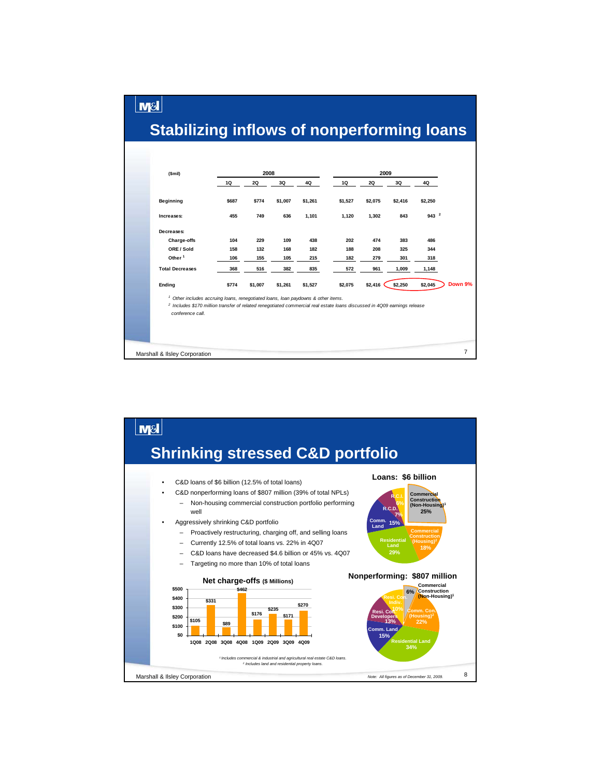## **Stabilizing inflows of nonperforming loans**

**M&I** 



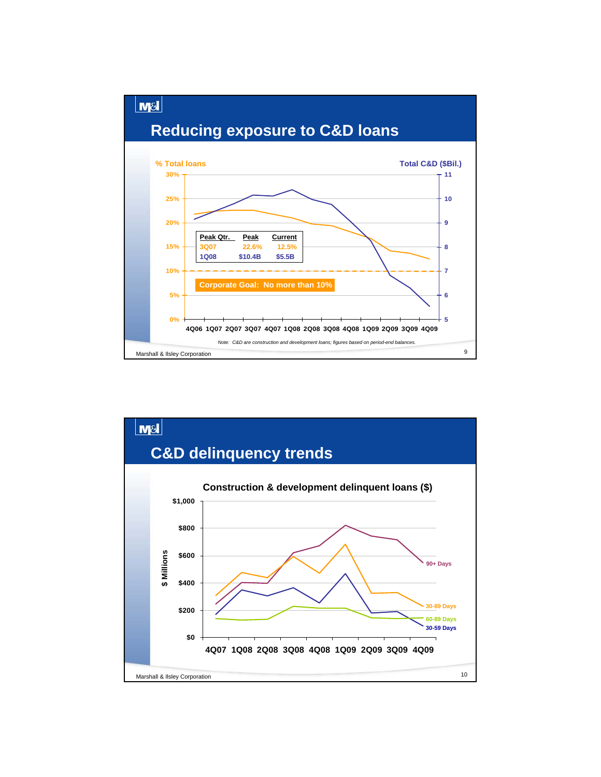

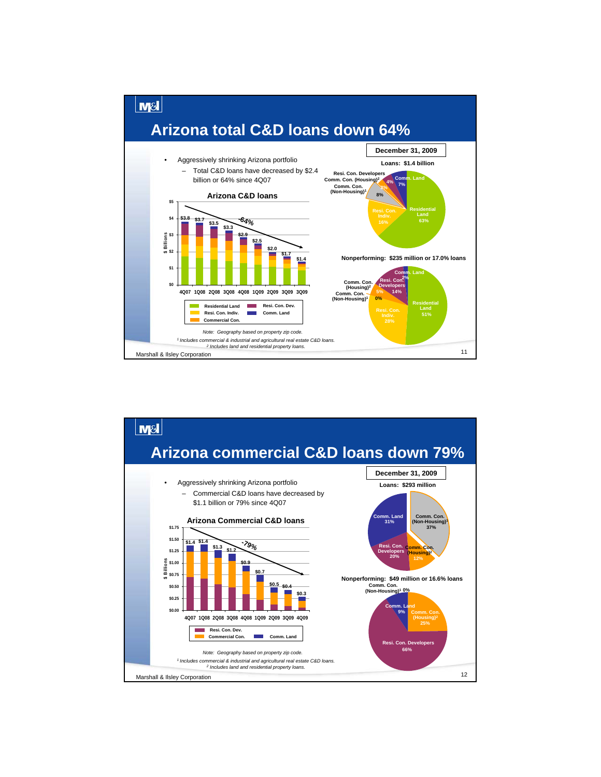

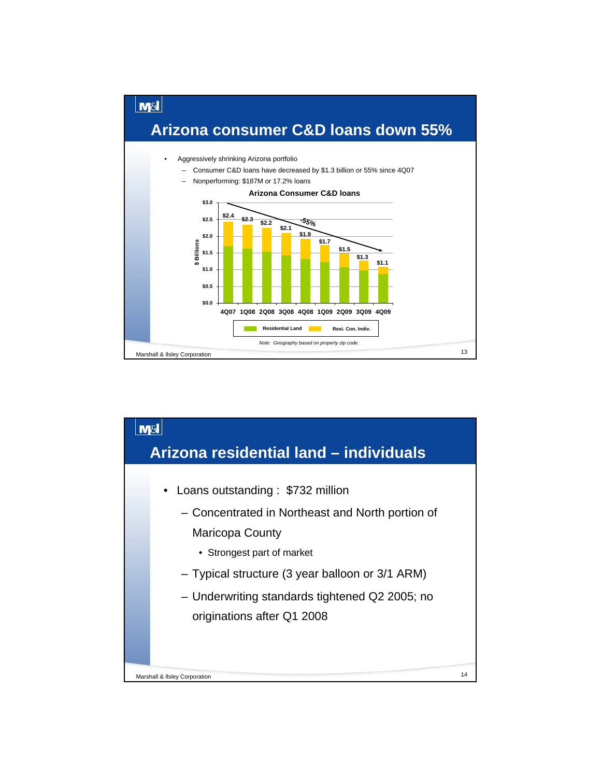

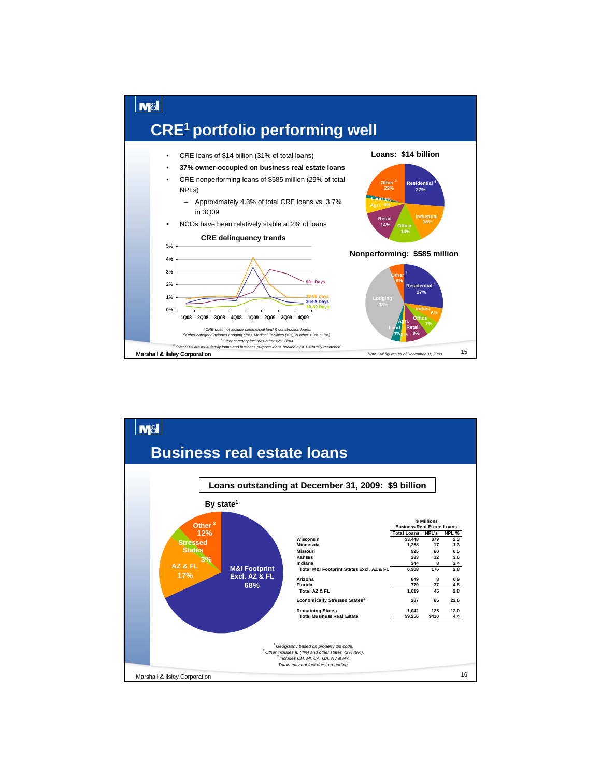

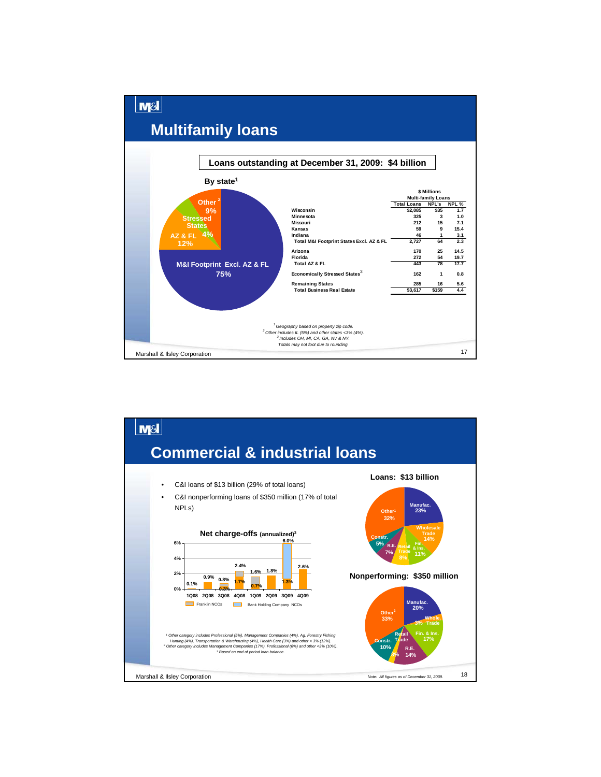

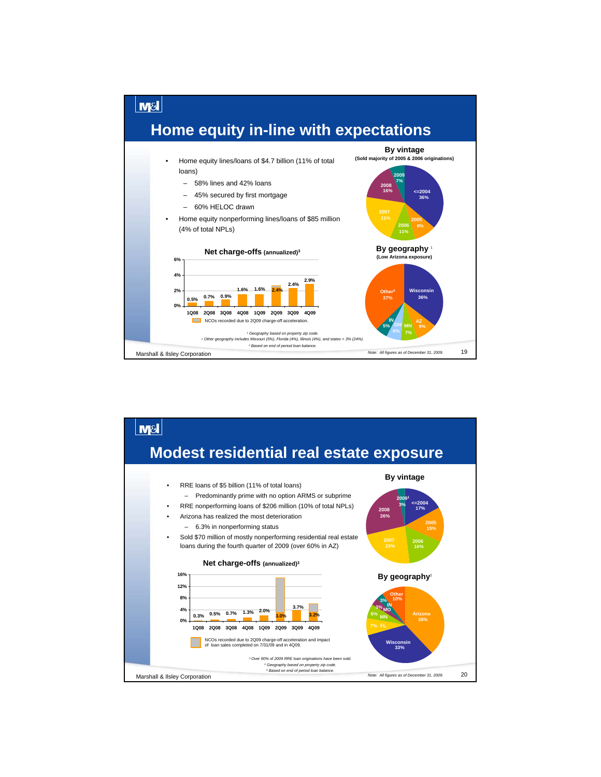

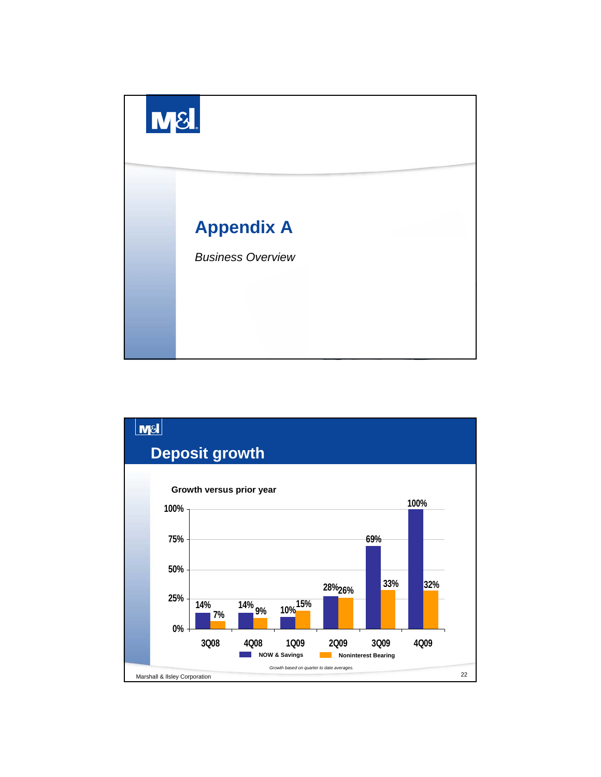

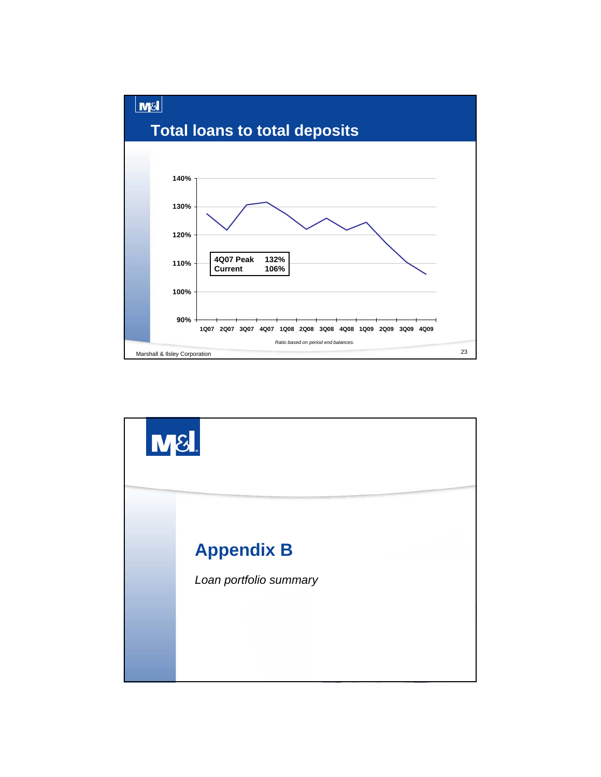

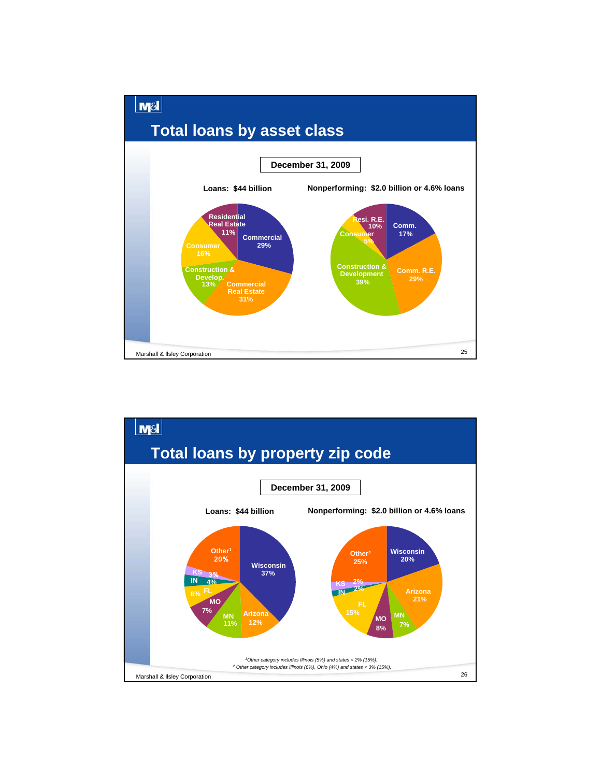

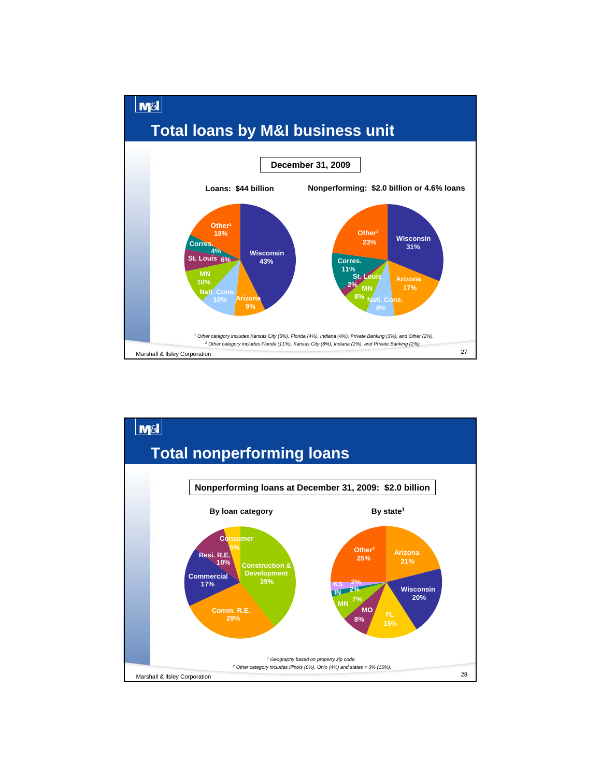

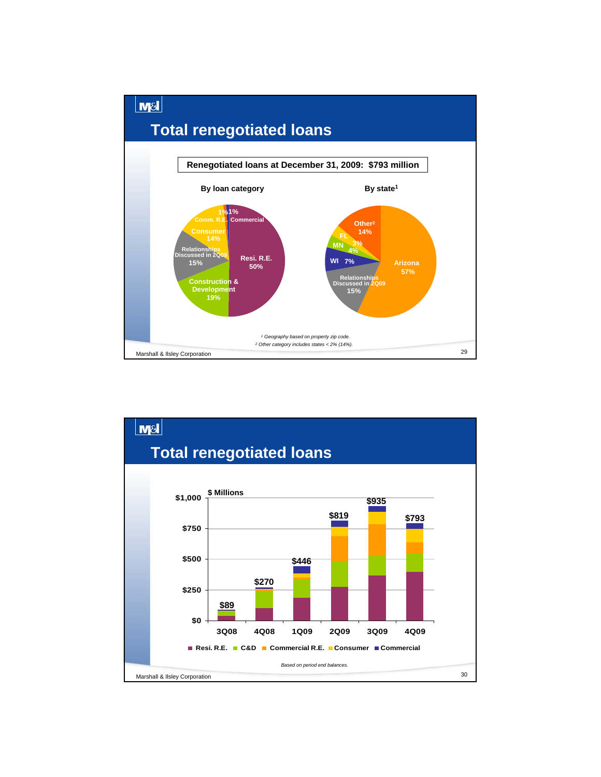

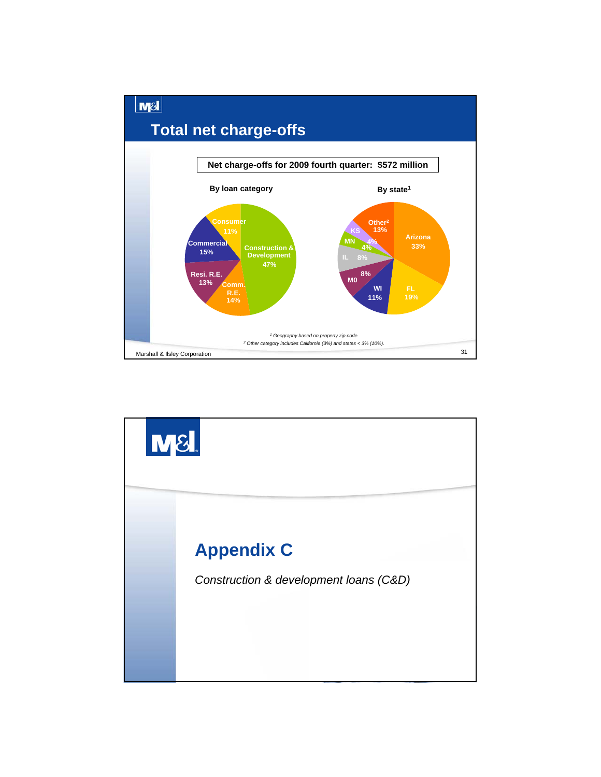

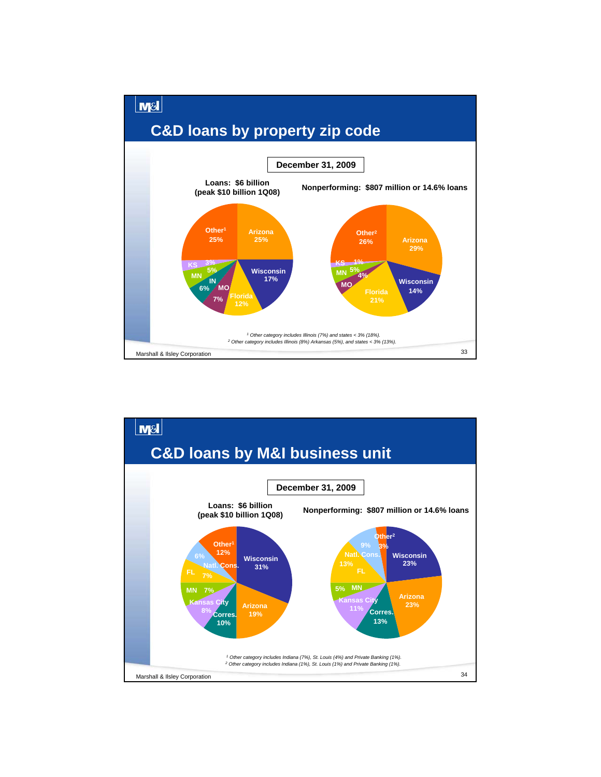

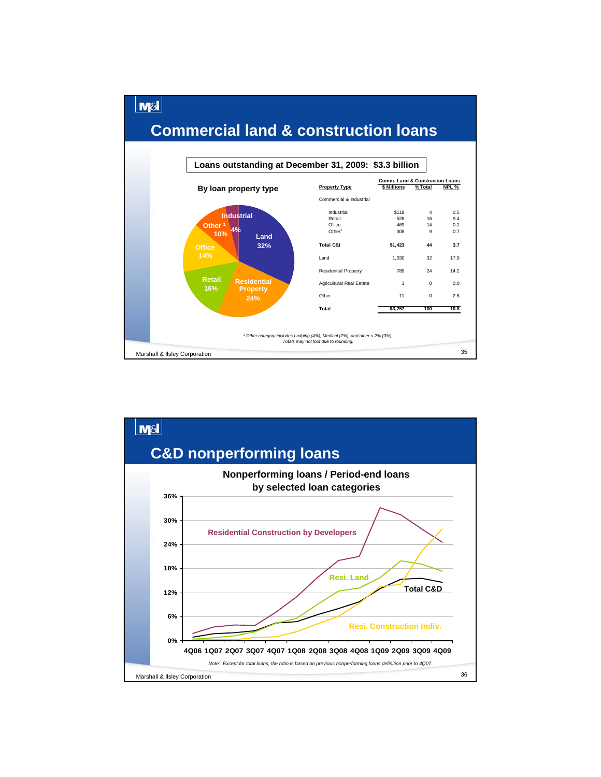

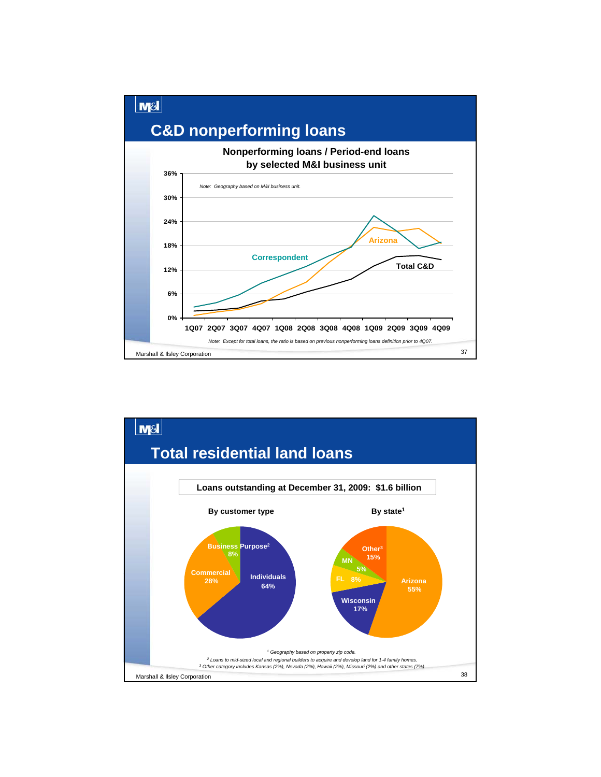

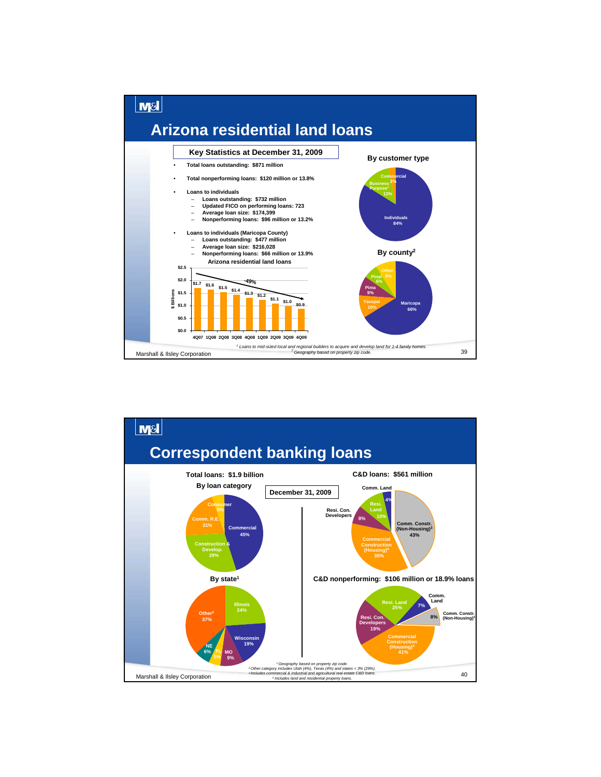

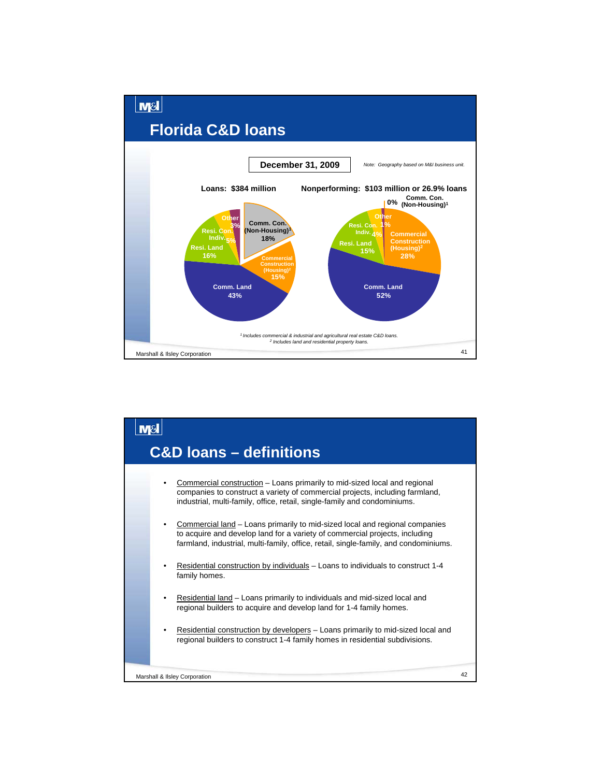

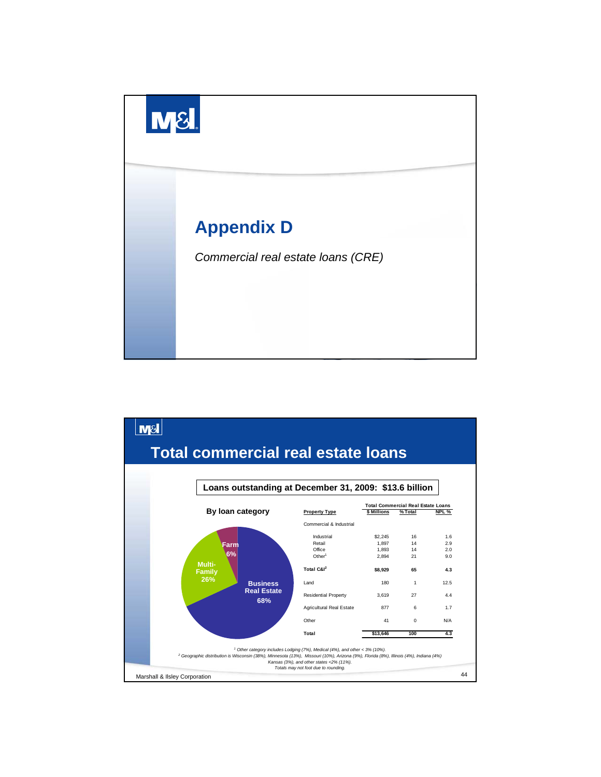

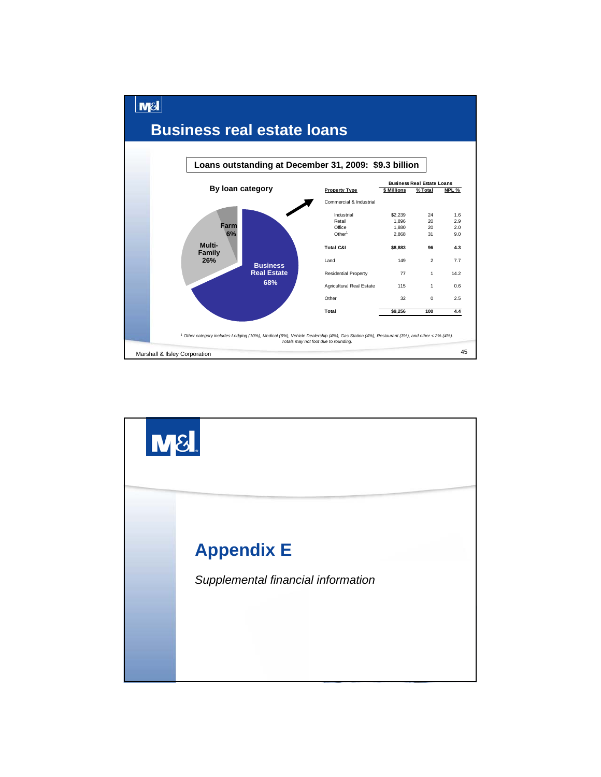

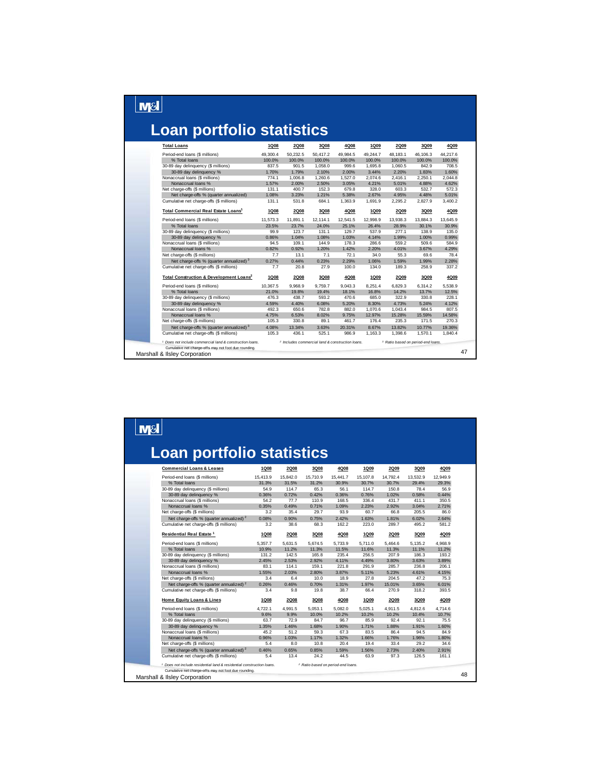# $\boxed{\text{MSI}}$

# **Loan portfolio statistics**

| <b>Total Loans</b>                                                                                                           | 1Q08        | <b>2Q08</b> | 3Q08     | 4Q08                                                        | 1Q09     | <b>2Q09</b> | 3Q09                                          | 4Q09     |
|------------------------------------------------------------------------------------------------------------------------------|-------------|-------------|----------|-------------------------------------------------------------|----------|-------------|-----------------------------------------------|----------|
| Period-end loans (\$ millions)                                                                                               | 49.300.4    | 50.232.5    | 50.417.2 | 49.984.5                                                    | 49.244.7 | 48.183.1    | 46.106.3                                      | 44.217.6 |
| % Total loans                                                                                                                | 100.0%      | 100.0%      | 100.0%   | 100.0%                                                      | 100.0%   | 100.0%      | 100.0%                                        | 100.0%   |
| 30-89 day delinquency (\$ millions)                                                                                          | 837.5       | 901.5       | 1.058.0  | 999.6                                                       | 1.695.8  | 1.060.5     | 842.9                                         | 708.5    |
| 30-89 day delinquency %                                                                                                      | 1.70%       | 1.79%       | 2.10%    | 2.00%                                                       | 3.44%    | 2.20%       | 1.83%                                         | 1.60%    |
| Nonaccrual loans (\$ millions)                                                                                               | 774.1       | 1.006.8     | 1.260.6  | 1.527.0                                                     | 2.074.6  | 2.416.1     | 2.250.1                                       | 2.044.8  |
| Nonaccrual loans %                                                                                                           | 1.57%       | 2.00%       | 2.50%    | 3.05%                                                       | 4.21%    | 5.01%       | 4.88%                                         | 4.62%    |
| Net charge-offs (\$ millions)                                                                                                | 131.1       | 400.7       | 152.3    | 679.8                                                       | 328.0    | 603.3       | 532.7                                         | 572.3    |
| Net charge-offs % (quarter annualized)                                                                                       | 1.08%       | 3.23%       | 1.21%    | 5.38%                                                       | 2.67%    | 4.95%       | 4.48%                                         | 5.01%    |
| Cumulative net charge-offs (\$ millions)                                                                                     | 131.1       | 531.8       | 684.1    | 1,363.9                                                     | 1,691.9  | 2,295.2     | 2,827.9                                       | 3,400.2  |
| Total Commercial Real Estate Loans <sup>1</sup>                                                                              | <b>1Q08</b> | <b>2Q08</b> | 3Q08     | 4Q08                                                        | 1Q09     | <b>2Q09</b> | 3Q09                                          | 4Q09     |
| Period-end loans (\$ millions)                                                                                               | 11.573.3    | 11,891.1    | 12.114.1 | 12,541.5                                                    | 12,998.9 | 13.938.3    | 13.884.3                                      | 13.645.9 |
| % Total loans                                                                                                                | 23.5%       | 23.7%       | 24.0%    | 25.1%                                                       | 26.4%    | 28.9%       | 30.1%                                         | 30.9%    |
| 30-89 day delinquency (\$ millions)                                                                                          | 99.9        | 123.7       | 131.1    | 129.7                                                       | 537.9    | 277.1       | 138.9                                         | 135.0    |
| 30-89 day delinquency %                                                                                                      | 0.86%       | 1.04%       | 1.08%    | 1.03%                                                       | 4.14%    | 1.99%       | 1.00%                                         | 0.99%    |
| Nonaccrual loans (\$ millions)                                                                                               | 94.5        | 109.1       | 144.9    | 178.3                                                       | 286.6    | 559.2       | 509.6                                         | 584.9    |
| Nonaccrual loans %                                                                                                           | 0.82%       | 0.92%       | 1.20%    | 1.42%                                                       | 2.20%    | 4.01%       | 3.67%                                         | 4.29%    |
| Net charge-offs (\$ millions)                                                                                                | 7.7         | 13.1        | 7.1      | 72.1                                                        | 34.0     | 55.3        | 69.6                                          | 78.4     |
| Net charge-offs % (quarter annualized) 3                                                                                     | 0.27%       | 0.44%       | 0.23%    | 2.29%                                                       | 1.06%    | 1.59%       | 1.99%                                         | 2.28%    |
| Cumulative net charge-offs (\$ millions)                                                                                     | 7.7         | 20.8        | 27.9     | 100.0                                                       | 134.0    | 189.3       | 258.9                                         | 337.2    |
| Total Construction & Development Loans <sup>2</sup>                                                                          | 1Q08        | <b>2Q08</b> | 3Q08     | 4Q08                                                        | 1Q09     | <b>2Q09</b> | 3Q09                                          | 4Q09     |
| Period-end loans (\$ millions)                                                                                               | 10,367.5    | 9,968.9     | 9.759.7  | 9.043.3                                                     | 8.251.4  | 6.829.3     | 6.314.2                                       | 5.538.9  |
| % Total loans                                                                                                                | 21.0%       | 19.8%       | 19.4%    | 18.1%                                                       | 16.8%    | 14.2%       | 13.7%                                         | 12.5%    |
| 30-89 day delinquency (\$ millions)                                                                                          | 476.3       | 438.7       | 593.2    | 470.6                                                       | 685.0    | 322.9       | 330.8                                         | 228.1    |
| 30-89 day delinquency %                                                                                                      | 4.59%       | 4.40%       | 6.08%    | 5.20%                                                       | 8.30%    | 4.73%       | 5.24%                                         | 4.12%    |
| Nonaccrual loans (\$ millions)                                                                                               | 492.3       | 650.6       | 782.8    | 882.0                                                       | 1.070.6  | 1.043.4     | 984.5                                         | 807.5    |
| Nonaccrual loans %                                                                                                           | 4.75%       | 6.53%       | 8.02%    | 9.75%                                                       | 12.97%   | 15.28%      | 15.59%                                        | 14.58%   |
| Net charge-offs (\$ millions)                                                                                                | 105.3       | 330.8       | 89.1     | 461.7                                                       | 176.4    | 235.3       | 171.5                                         | 270.3    |
| Net charge-offs % (quarter annualized) 3                                                                                     | 4.08%       | 13.34%      | 3.63%    | 20.31%                                                      | 8.67%    | 13.82%      | 10.77%                                        | 19.36%   |
| Cumulative net charge-offs (\$ millions)                                                                                     | 105.3       | 436.1       | 525.1    | 986.9                                                       | 1.163.3  | 1,398.6     | 1,570.1                                       | 1.840.4  |
| <sup>1</sup> Does not include commercial land & construction loans.<br>Cumulative net charge-offs may not foot due rounding. |             |             |          | <sup>2</sup> Includes commercial land & construction loans. |          |             | <sup>3</sup> Ratio based on period-end loans. |          |
| Marshall & Ilsley Corporation                                                                                                |             |             |          |                                                             |          |             |                                               |          |

|                                                     |             |             | <b>Loan portfolio statistics</b> |          |          |             |          |          |
|-----------------------------------------------------|-------------|-------------|----------------------------------|----------|----------|-------------|----------|----------|
| <b>Commercial Loans &amp; Leases</b>                | <b>1Q08</b> | <b>2Q08</b> | 3Q08                             | 4Q08     | 1Q09     | <b>2Q09</b> | 3Q09     | 4Q09     |
| Period-end loans (\$ millions)                      | 15,413.9    | 15.842.0    | 15,710.9                         | 15.441.7 | 15.107.8 | 14.792.4    | 13.532.9 | 12.949.9 |
| % Total loans                                       | 31.3%       | 31.5%       | 31.2%                            | 30.9%    | 30.7%    | 30.7%       | 29.4%    | 29.3%    |
| 30-89 day delinquency (\$ millions)                 | 54.9        | 114.7       | 65.3                             | 56.1     | 114.7    | 150.8       | 78.4     | 56.9     |
| 30-89 day delinquency %                             | 0.36%       | 0.72%       | 0.42%                            | 0.36%    | 0.76%    | 1.02%       | 0.58%    | 0.44%    |
| Nonaccrual Ioans (\$ millions)                      | 54.2        | 77.7        | 110.9                            | 168.5    | 336.4    | 431.7       | 411.1    | 350.5    |
| Nonaccrual loans %                                  | 0.35%       | 0.49%       | 0.71%                            | 1.09%    | 2.23%    | 2.92%       | 3.04%    | 2.71%    |
| Net charge-offs (\$ millions)                       | 3.2         | 35.4        | 29.7                             | 93.9     | 60.7     | 66.8        | 205.5    | 86.0     |
| Net charge-offs % (quarter annualized) <sup>2</sup> | 0.08%       | 0.90%       | 0.75%                            | 2.42%    | 1.63%    | 1.81%       | 6.02%    | 2.64%    |
| Cumulative net charge-offs (\$ millions)            | 3.2         | 38.6        | 68.3                             | 162.2    | 223.0    | 289.7       | 495.2    | 581.2    |
| Residential Real Estate <sup>1</sup>                | <b>1Q08</b> | <b>2Q08</b> | 3Q08                             | 4Q08     | 1Q09     | <b>2Q09</b> | 3Q09     | 4Q09     |
| Period-end loans (\$ millions)                      | 5.357.7     | 5.631.5     | 5.674.5                          | 5.733.9  | 5.711.0  | 5.464.6     | 5.135.2  | 4.968.9  |
| % Total loans                                       | 10.9%       | 11.2%       | 11.3%                            | 11.5%    | 11.6%    | 11.3%       | 11.1%    | 11.2%    |
| 30-89 day delinquency (\$ millions)                 | 131.2       | 142.5       | 165.8                            | 235.4    | 256.5    | 207.9       | 186.3    | 193.2    |
| 30-89 day delinquency %                             | 2.45%       | 2.53%       | 2.92%                            | 4.11%    | 4.49%    | 3.80%       | 3.63%    | 3.89%    |
| Nonaccrual loans (\$ millions)                      | 83.1        | 114.1       | 159.1                            | 221.8    | 291.9    | 285.7       | 236.8    | 206.1    |
| Nonaccrual loans %                                  | 1.55%       | 2.03%       | 2.80%                            | 3.87%    | 5.11%    | 5.23%       | 4.61%    | 4.15%    |
| Net charge-offs (\$ millions)                       | 3.4         | 6.4         | 10.0                             | 18.9     | 27.8     | 204.5       | 47.2     | 75.3     |
| Net charge-offs % (quarter annualized) <sup>2</sup> | 0.26%       | 0.46%       | 0.70%                            | 1.31%    | 1.97%    | 15.01%      | 3.65%    | 6.01%    |
| Cumulative net charge-offs (\$ millions)            | 3.4         | 9.8         | 19.8                             | 38.7     | 66.4     | 270.9       | 318.2    | 393.5    |
| <b>Home Equity Loans &amp; Lines</b>                | <b>1Q08</b> | <b>2Q08</b> | 3Q08                             | 4Q08     | 1Q09     | <b>2Q09</b> | 3Q09     | 4Q09     |
| Period-end loans (\$ millions)                      | 4,722.1     | 4.991.5     | 5.053.1                          | 5.082.0  | 5.025.1  | 4.911.5     | 4.812.6  | 4.714.6  |
| % Total loans                                       | 9.6%        | 9.9%        | 10.0%                            | 10.2%    | 10.2%    | 10.2%       | 10.4%    | 10.7%    |
| 30-89 day delinquency (\$ millions)                 | 63.7        | 72.9        | 84.7                             | 96.7     | 85.9     | 92.4        | 92.1     | 75.5     |
| 30-89 day delinquency %                             | 1.35%       | 1.46%       | 1.68%                            | 1.90%    | 1.71%    | 1.88%       | 1.91%    | 1.60%    |
| Nonaccrual loans (\$ millions)                      | 45.2        | 51.2        | 59.3                             | 67.3     | 83.5     | 86.4        | 94.5     | 84.9     |
| Nonaccrual loans %                                  | 0.96%       | 1.03%       | 1.17%                            | 1.32%    | 1.66%    | 1.76%       | 1.96%    | 1.80%    |
| Net charge-offs (\$ millions)                       | 5.4         | 8.0         | 10.8                             | 20.4     | 19.4     | 33.4        | 29.2     | 34.6     |
| Net charge-offs % (quarter annualized) <sup>2</sup> | 0.46%       | 0.65%       | 0.85%                            | 1.59%    | 1.56%    | 2.73%       | 2.40%    | 2.91%    |
| Cumulative net charge-offs (\$ millions)            | 5.4         | 13.4        | 24.2                             | 44.5     | 63.9     | 97.3        | 126.5    | 161.1    |